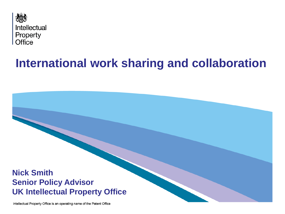

# **International work sharing and collaboration**

#### **Nick Smith Senior Policy Advisor UK Intellectual Property Office**

Intellectual Property Office is an operating name of the Patent Office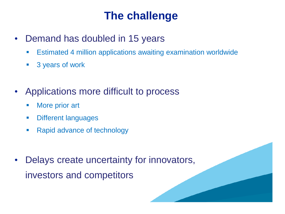## **The challenge**

- Demand has doubled in 15 years
	- Estimated 4 million applications awaiting examination worldwide
	- **3 years of work**
- Applications more difficult to process
	- **More prior art**
	- **•** Different languages
	- **Rapid advance of technology**
- Delays create uncertainty for innovators, investors and competitors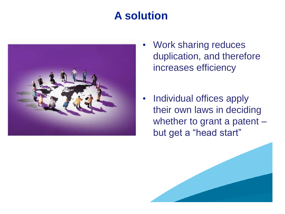# **A solution**



- Work sharing reduces duplication, and therefore increases efficiency
- Individual offices apply their own laws in deciding whether to grant a patent but get a "head start"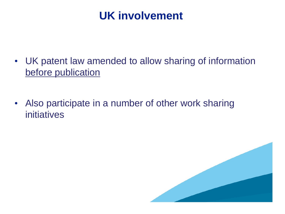## **UK involvement**

- UK patent law amended to allow sharing of information before publication
- Also participate in a number of other work sharing initiatives

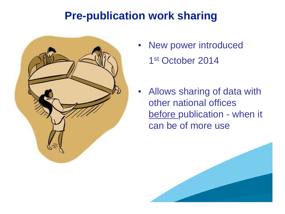## **Pre-publication work sharing**



- New power introduced 1 st October 2014
- Allows sharing of data with other national offices before publication - when it can be of more use

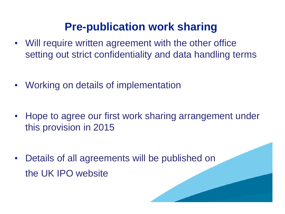## **Pre-publication work sharing**

- Will require written agreement with the other office setting out strict confidentiality and data handling terms
- Working on details of implementation
- Hope to agree our first work sharing arrangement under this provision in 2015
- Details of all agreements will be published on the UK IPO website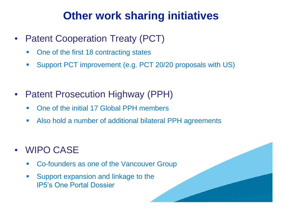## **Other work sharing initiatives**

- Patent Cooperation Treaty (PCT)
	- One of the first 18 contracting states
	- Support PCT improvement (e.g. PCT 20/20 proposals with US)
- Patent Prosecution Highway (PPH)
	- One of the initial 17 Global PPH members
	- Also hold a number of additional bilateral PPH agreements
- WIPO CASE
	- Co-founders as one of the Vancouver Group
	- Support expansion and linkage to the IP5's One Portal Dossier